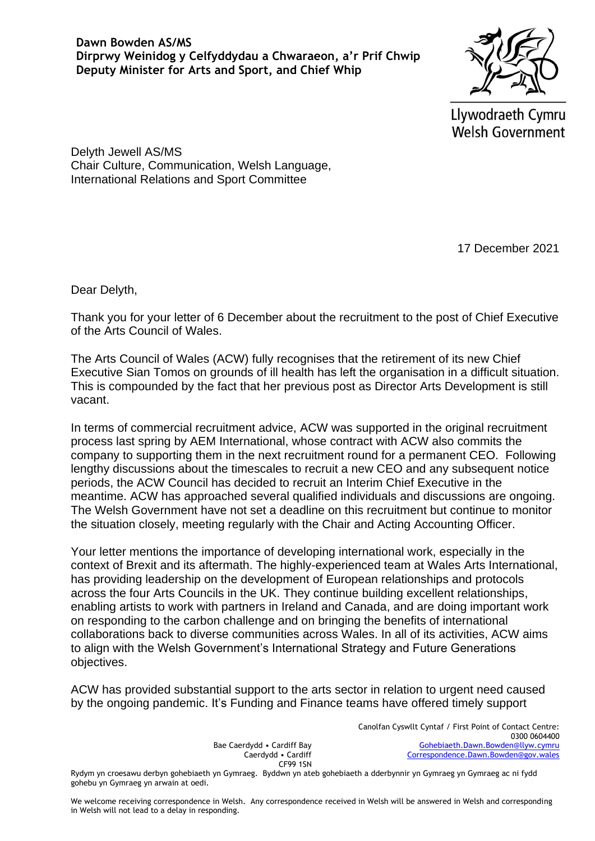**Dawn Bowden AS/MS Dirprwy Weinidog y Celfyddydau a Chwaraeon, a'r Prif Chwip Deputy Minister for Arts and Sport, and Chief Whip**

Llywodraeth Cymru **Welsh Government** 

Delyth Jewell AS/MS Chair Culture, Communication, Welsh Language, International Relations and Sport Committee

17 December 2021

Dear Delyth,

Thank you for your letter of 6 December about the recruitment to the post of Chief Executive of the Arts Council of Wales.

The Arts Council of Wales (ACW) fully recognises that the retirement of its new Chief Executive Sian Tomos on grounds of ill health has left the organisation in a difficult situation. This is compounded by the fact that her previous post as Director Arts Development is still vacant.

In terms of commercial recruitment advice, ACW was supported in the original recruitment process last spring by AEM International, whose contract with ACW also commits the company to supporting them in the next recruitment round for a permanent CEO. Following lengthy discussions about the timescales to recruit a new CEO and any subsequent notice periods, the ACW Council has decided to recruit an Interim Chief Executive in the meantime. ACW has approached several qualified individuals and discussions are ongoing. The Welsh Government have not set a deadline on this recruitment but continue to monitor the situation closely, meeting regularly with the Chair and Acting Accounting Officer.

Your letter mentions the importance of developing international work, especially in the context of Brexit and its aftermath. The highly-experienced team at Wales Arts International, has providing leadership on the development of European relationships and protocols across the four Arts Councils in the UK. They continue building excellent relationships, enabling artists to work with partners in Ireland and Canada, and are doing important work on responding to the carbon challenge and on bringing the benefits of international collaborations back to diverse communities across Wales. In all of its activities, ACW aims to align with the Welsh Government's International Strategy and Future Generations objectives.

ACW has provided substantial support to the arts sector in relation to urgent need caused by the ongoing pandemic. It's Funding and Finance teams have offered timely support

> Bae Caerdydd • Cardiff Bay Caerdydd • Cardiff CF99 1SN

Canolfan Cyswllt Cyntaf / First Point of Contact Centre: 0300 0604400 [Gohebiaeth.Dawn.Bowden@llyw.cymru](mailto:Gohebiaeth.Dawn.Bowden@llyw.cymru)   [Correspondence.Dawn.Bowden@gov.wales](mailto:Correspondence.Dawn.Bowden@gov.wales)

Rydym yn croesawu derbyn gohebiaeth yn Gymraeg. Byddwn yn ateb gohebiaeth a dderbynnir yn Gymraeg yn Gymraeg ac ni fydd gohebu yn Gymraeg yn arwain at oedi.

We welcome receiving correspondence in Welsh. Any correspondence received in Welsh will be answered in Welsh and corresponding in Welsh will not lead to a delay in responding.